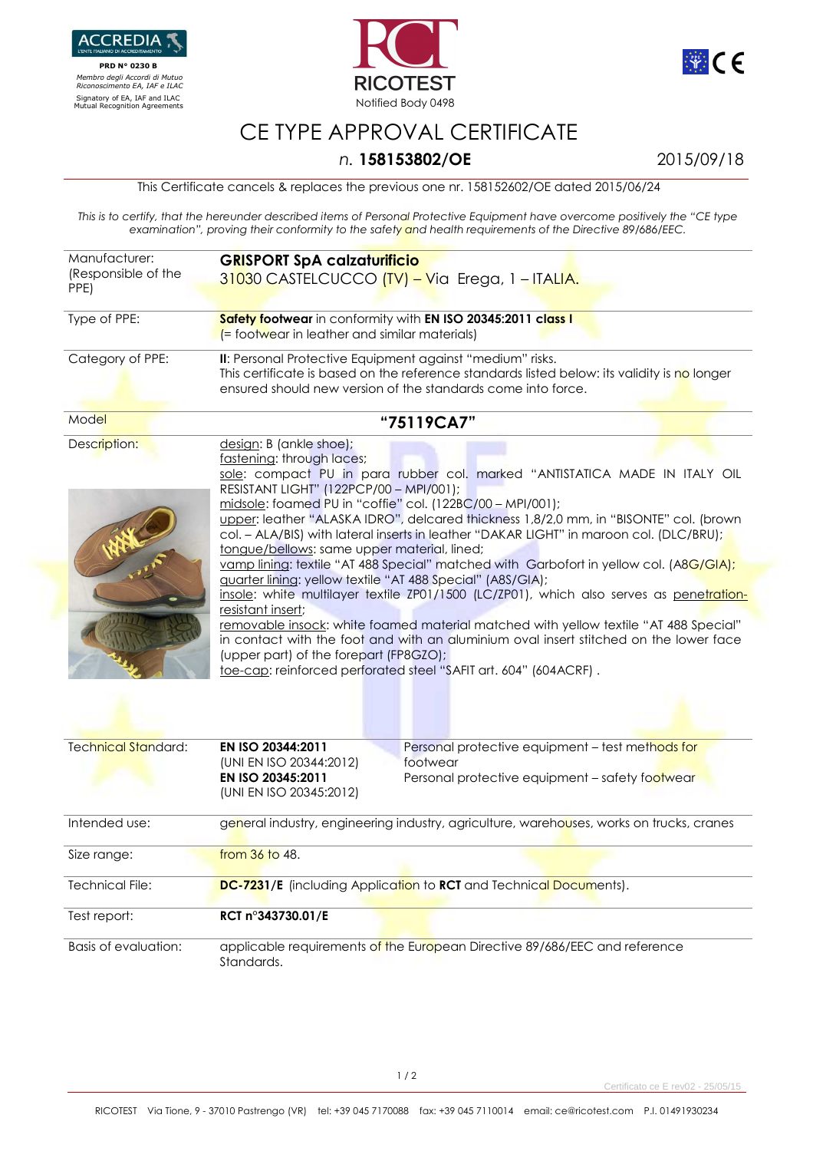

 **PRD N° 0230 B**   *Membro degli Accordi di Mutuo Riconoscimento EA, IAF e ILAC*





## CE TYPE APPROVAL CERTIFICATE

## *n.* **158153802/OE** 2015/09/18

This Certificate cancels & replaces the previous one nr. 158152602/OE dated 2015/06/24

*This is to certify, that the hereunder described items of Personal Protective Equipment have overcome positively the "CE type examination", proving their conformity to the safety and health requirements of the Directive 89/686/EEC.* 

| Manufacturer:<br>(Responsible of the<br>PPE) | <b>GRISPORT SpA calzaturificio</b><br>31030 CASTELCUCCO (TV) - Via Erega, 1 - ITALIA.                                                                                                                                                                                                                                                                                                                                                                                                                                                                                                                                                                                                                                                                                                                                                                                                                                                                                                                                                                |
|----------------------------------------------|------------------------------------------------------------------------------------------------------------------------------------------------------------------------------------------------------------------------------------------------------------------------------------------------------------------------------------------------------------------------------------------------------------------------------------------------------------------------------------------------------------------------------------------------------------------------------------------------------------------------------------------------------------------------------------------------------------------------------------------------------------------------------------------------------------------------------------------------------------------------------------------------------------------------------------------------------------------------------------------------------------------------------------------------------|
| Type of PPE:                                 | Safety footwear in conformity with EN ISO 20345:2011 class I<br>$\epsilon$ footwear in leather and similar materials)                                                                                                                                                                                                                                                                                                                                                                                                                                                                                                                                                                                                                                                                                                                                                                                                                                                                                                                                |
| Category of PPE:                             | II: Personal Protective Equipment against "medium" risks.<br>This certificate is based on the reference standards listed below: its validity is no longer<br>ensured should new version of the standards come into force.                                                                                                                                                                                                                                                                                                                                                                                                                                                                                                                                                                                                                                                                                                                                                                                                                            |
| Model                                        | "75119CA7"                                                                                                                                                                                                                                                                                                                                                                                                                                                                                                                                                                                                                                                                                                                                                                                                                                                                                                                                                                                                                                           |
| Description:                                 | design: B (ankle shoe);<br>fastening: through laces;<br>sole: compact PU in para rubber col. marked "ANTISTATICA MADE IN ITALY OIL<br>RESISTANT LIGHT" (122PCP/00 - MPI/001);<br>midsole: foamed PU in "coffie" col. (122BC/00 - MPI/001);<br>upper: leather "ALASKA IDRO", delcared thickness 1,8/2,0 mm, in "BISONTE" col. (brown<br>col. - ALA/BIS) with lateral inserts in leather "DAKAR LIGHT" in maroon col. (DLC/BRU);<br>tongue/bellows: same upper material, lined;<br>vamp lining: textile "AT 488 Special" matched with Garbofort in yellow col. (A8G/GIA);<br>guarter lining: yellow textile "AT 488 Special" (A8S/GIA);<br>insole: white multilayer textile ZP01/1500 (LC/ZP01), which also serves as penetration-<br>resistant insert;<br>removable insock: white foamed material matched with yellow textile "AT 488 Special"<br>in contact with the foot and with an aluminium oval insert stitched on the lower face<br>(upper part) of the forepart (FP8GZO);<br>toe-cap: reinforced perforated steel "SAFIT art. 604" (604ACRF). |
| <b>Technical Standard:</b>                   | EN ISO 20344:2011<br>Personal protective equipment - test methods for<br>(UNI EN ISO 20344:2012)<br>footwear<br>EN ISO 20345:2011<br>Personal protective equipment - safety footwear<br>(UNI EN ISO 20345:2012)                                                                                                                                                                                                                                                                                                                                                                                                                                                                                                                                                                                                                                                                                                                                                                                                                                      |

| Intended use:        | general industry, engineering industry, agriculture, warehouses, works on trucks, cranes |
|----------------------|------------------------------------------------------------------------------------------|
| Size range:          | from 36 to 48.                                                                           |
| Technical File:      | DC-7231/E (including Application to RCT and Technical Documents).                        |
| Test report:         | RCT n°343730.01/E                                                                        |
| Basis of evaluation: | applicable requirements of the European Directive 89/686/EEC and reference<br>Standards. |